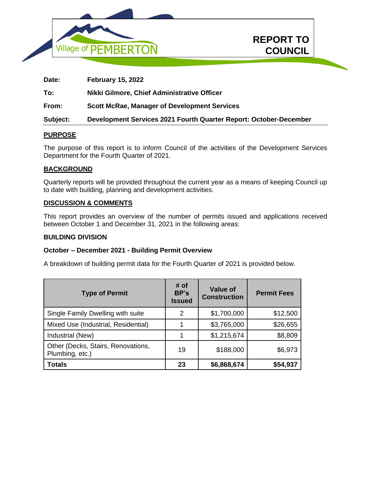



**Date: February 15, 2022 To: Nikki Gilmore, Chief Administrative Officer From: Scott McRae, Manager of Development Services Subject: Development Services 2021 Fourth Quarter Report: October-December**

### **PURPOSE**

The purpose of this report is to inform Council of the activities of the Development Services Department for the Fourth Quarter of 2021.

#### **BACKGROUND**

Quarterly reports will be provided throughout the current year as a means of keeping Council up to date with building, planning and development activities.

### **DISCUSSION & COMMENTS**

This report provides an overview of the number of permits issued and applications received between October 1 and December 31, 2021 in the following areas:

#### **BUILDING DIVISION**

#### **October – December 2021 - Building Permit Overview**

A breakdown of building permit data for the Fourth Quarter of 2021 is provided below.

| <b>Type of Permit</b>                                 | # of<br>BP's<br><b>Issued</b> | <b>Value of</b><br><b>Construction</b> | <b>Permit Fees</b> |
|-------------------------------------------------------|-------------------------------|----------------------------------------|--------------------|
| Single Family Dwelling with suite                     | 2                             | \$1,700,000                            | \$12,500           |
| Mixed Use (Industrial, Residential)                   |                               | \$3,765,000                            | \$26,655           |
| Industrial (New)                                      |                               | \$1,215,674                            | \$8,809            |
| Other (Decks, Stairs, Renovations,<br>Plumbing, etc.) | 19                            | \$188,000                              | \$6,973            |
| <b>Totals</b>                                         | 23                            | \$6,868,674                            | \$54,937           |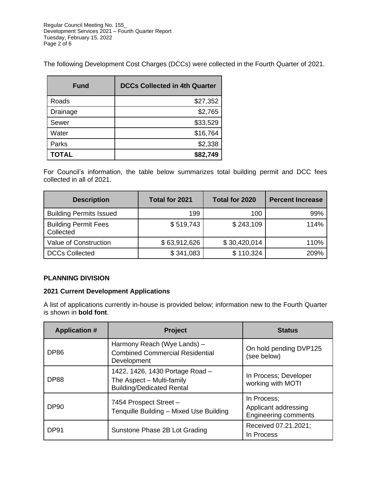Regular Council Meeting No. 155\_ Development Services 2021 – Fourth Quarter Report Tuesday, February 15, 2022 Page 2 of 6

The following Development Cost Charges (DCCs) were collected in the Fourth Quarter of 2021.

| Fund         | <b>DCCs Collected in 4th Quarter</b> |
|--------------|--------------------------------------|
| Roads        | \$27,352                             |
| Drainage     | \$2,765                              |
| Sewer        | \$33,529                             |
| Water        | \$16,764                             |
| Parks        | \$2,338                              |
| <b>TOTAL</b> | \$82,749                             |

For Council's information, the table below summarizes total building permit and DCC fees collected in all of 2021.

| <b>Description</b>                       | Total for 2021 | Total for 2020 | <b>Percent Increase</b> |
|------------------------------------------|----------------|----------------|-------------------------|
| <b>Building Permits Issued</b>           | 199            | 100            | 99%                     |
| <b>Building Permit Fees</b><br>Collected | \$519,743      | \$243,109      | 114%                    |
| Value of Construction                    | \$63,912,626   | \$30,420,014   | 110%                    |
| <b>DCCs Collected</b>                    | \$341,083      | \$110,324      | 209%                    |

# **PLANNING DIVISION**

### **2021 Current Development Applications**

A list of applications currently in-house is provided below; information new to the Fourth Quarter is shown in **bold font**.

| <b>Application #</b> | <b>Project</b>                                                                                   | <b>Status</b>                                                      |
|----------------------|--------------------------------------------------------------------------------------------------|--------------------------------------------------------------------|
| DP <sub>86</sub>     | Harmony Reach (Wye Lands) -<br><b>Combined Commercial Residential</b><br>Development             | On hold pending DVP125<br>(see below)                              |
| <b>DP88</b>          | 1422, 1426, 1430 Portage Road -<br>The Aspect - Multi-family<br><b>Building/Dedicated Rental</b> | In Process; Developer<br>working with MOTI                         |
| <b>DP90</b>          | 7454 Prospect Street -<br>Tenquille Building - Mixed Use Building                                | In Process;<br>Applicant addressing<br><b>Engineering comments</b> |
| DP91                 | Sunstone Phase 2B Lot Grading                                                                    | Received 07.21.2021;<br>In Process                                 |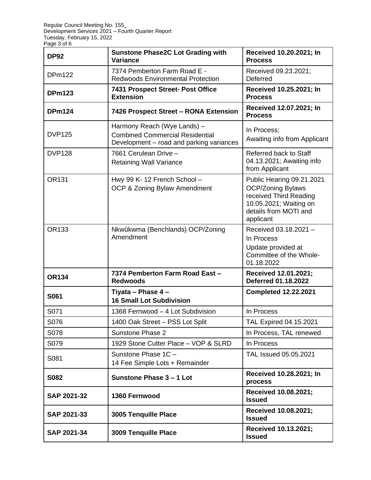| <b>DP92</b>   | <b>Sunstone Phase2C Lot Grading with</b><br>Variance                                                              | Received 10.20.2021; In<br><b>Process</b>                                                                                                       |
|---------------|-------------------------------------------------------------------------------------------------------------------|-------------------------------------------------------------------------------------------------------------------------------------------------|
| <b>DPm122</b> | 7374 Pemberton Farm Road E -<br><b>Redwoods Environmental Protection</b>                                          | Received 09.23.2021;<br>Deferred                                                                                                                |
| <b>DPm123</b> | 7431 Prospect Street- Post Office<br><b>Extension</b>                                                             | Received 10.25.2021; In<br><b>Process</b>                                                                                                       |
| <b>DPm124</b> | 7426 Prospect Street - RONA Extension                                                                             | Received 12.07.2021; In<br><b>Process</b>                                                                                                       |
| <b>DVP125</b> | Harmony Reach (Wye Lands) -<br><b>Combined Commercial Residential</b><br>Development – road and parking variances | In Process:<br>Awaiting info from Applicant                                                                                                     |
| <b>DVP128</b> | 7661 Cerulean Drive -<br><b>Retaining Wall Variance</b>                                                           | Referred back to Staff<br>04.13.2021; Awaiting info<br>from Applicant                                                                           |
| <b>OR131</b>  | Hwy 99 K-12 French School -<br>OCP & Zoning Bylaw Amendment                                                       | Public Hearing 09.21.2021<br><b>OCP/Zoning Bylaws</b><br>received Third Reading<br>10.05.2021; Waiting on<br>details from MOTI and<br>applicant |
| OR133         | Nkwûkwma (Benchlands) OCP/Zoning<br>Amendment                                                                     | Received 03.18.2021 -<br>In Process<br>Update provided at<br>Committee of the Whole-<br>01.18.2022                                              |
| <b>OR134</b>  | 7374 Pemberton Farm Road East -<br><b>Redwoods</b>                                                                | Received 12.01.2021;<br><b>Deferred 01.18.2022</b>                                                                                              |
| S061          | Tiyata - Phase 4 -<br><b>16 Small Lot Subdivision</b>                                                             | <b>Completed 12.22.2021</b>                                                                                                                     |
| S071          | 1368 Fernwood - 4 Lot Subdivision                                                                                 | In Process                                                                                                                                      |
| S076          | 1400 Oak Street - PSS Lot Split                                                                                   | TAL Expired 04.15.2021                                                                                                                          |
| S078          | Sunstone Phase 2                                                                                                  | In Process, TAL renewed                                                                                                                         |
| S079          | 1929 Stone Cutter Place - VOP & SLRD                                                                              | In Process                                                                                                                                      |
| S081          | Sunstone Phase 1C -<br>14 Fee Simple Lots + Remainder                                                             | TAL Issued 05.05.2021                                                                                                                           |
| S082          | Sunstone Phase 3 - 1 Lot                                                                                          | Received 10.28.2021; In<br>process                                                                                                              |
| SAP 2021-32   | 1360 Fernwood                                                                                                     | Received 10.08.2021;<br><b>Issued</b>                                                                                                           |
| SAP 2021-33   | 3005 Tenquille Place                                                                                              | Received 10.08.2021;<br><b>Issued</b>                                                                                                           |
| SAP 2021-34   | 3009 Tenquille Place                                                                                              | Received 10.13.2021;<br><b>Issued</b>                                                                                                           |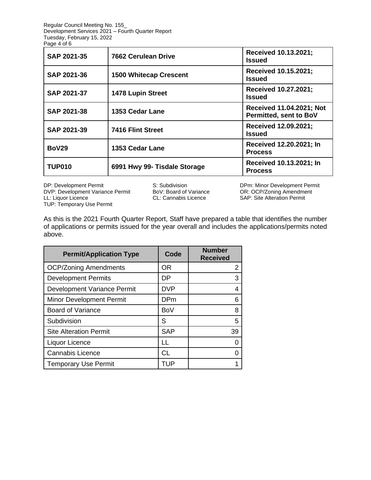Regular Council Meeting No. 155\_ Development Services 2021 – Fourth Quarter Report Tuesday, February 15, 2022 Page 4 of 6

| <b>SAP 2021-35</b> | <b>7662 Cerulean Drive</b>    | Received 10.13.2021;<br><b>Issued</b>              |
|--------------------|-------------------------------|----------------------------------------------------|
| <b>SAP 2021-36</b> | <b>1500 Whitecap Crescent</b> | Received 10.15.2021;<br><b>Issued</b>              |
| <b>SAP 2021-37</b> | 1478 Lupin Street             | Received 10.27.2021;<br><b>Issued</b>              |
| <b>SAP 2021-38</b> | 1353 Cedar Lane               | Received 11.04.2021; Not<br>Permitted, sent to BoV |
| <b>SAP 2021-39</b> | 7416 Flint Street             | Received 12.09.2021;<br><b>Issued</b>              |
| <b>BoV29</b>       | 1353 Cedar Lane               | Received 12.20.2021; In<br><b>Process</b>          |
| <b>TUP010</b>      | 6991 Hwy 99- Tisdale Storage  | Received 10.13.2021; In<br><b>Process</b>          |

DP: Development Permit **S: Subdivision** S: Subdivision DPm: Minor Development Permit DVP: Development Variance Permit BoV: Board of Variance OR: OCP/Zoning Amendment DVP: Development Variance Permit BoV: Board of Variance LL: Liquor Licence TUP: Temporary Use Permit

SAP: Site Alteration Permit

As this is the 2021 Fourth Quarter Report, Staff have prepared a table that identifies the number of applications or permits issued for the year overall and includes the applications/permits noted above.

| <b>Permit/Application Type</b>  | Code       | <b>Number</b><br><b>Received</b> |
|---------------------------------|------------|----------------------------------|
| <b>OCP/Zoning Amendments</b>    | <b>OR</b>  |                                  |
| <b>Development Permits</b>      | DP         |                                  |
| Development Variance Permit     | <b>DVP</b> |                                  |
| <b>Minor Development Permit</b> | <b>DPm</b> | ิค                               |
| <b>Board of Variance</b>        | BoV        |                                  |
| Subdivision                     | S          | 5                                |
| <b>Site Alteration Permit</b>   | <b>SAP</b> | 39                               |
| Liquor Licence                  | LL         |                                  |
| <b>Cannabis Licence</b>         | СL         |                                  |
| <b>Temporary Use Permit</b>     | TUP        |                                  |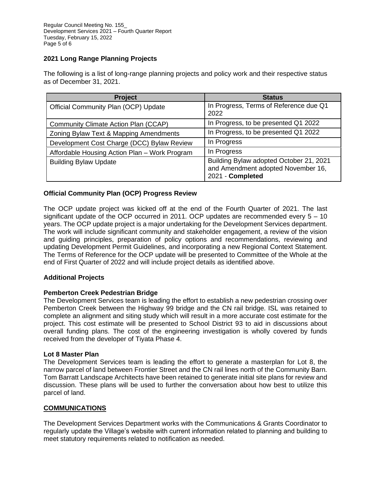# **2021 Long Range Planning Projects**

The following is a list of long-range planning projects and policy work and their respective status as of December 31, 2021.

| <b>Project</b>                                | <b>Status</b>                                                                                     |
|-----------------------------------------------|---------------------------------------------------------------------------------------------------|
| <b>Official Community Plan (OCP) Update</b>   | In Progress, Terms of Reference due Q1<br>2022                                                    |
| Community Climate Action Plan (CCAP)          | In Progress, to be presented Q1 2022                                                              |
| Zoning Bylaw Text & Mapping Amendments        | In Progress, to be presented Q1 2022                                                              |
| Development Cost Charge (DCC) Bylaw Review    | In Progress                                                                                       |
| Affordable Housing Action Plan - Work Program | In Progress                                                                                       |
| <b>Building Bylaw Update</b>                  | Building Bylaw adopted October 21, 2021<br>and Amendment adopted November 16,<br>2021 - Completed |

### **Official Community Plan (OCP) Progress Review**

The OCP update project was kicked off at the end of the Fourth Quarter of 2021. The last significant update of the OCP occurred in 2011. OCP updates are recommended every  $5 - 10$ years. The OCP update project is a major undertaking for the Development Services department. The work will include significant community and stakeholder engagement, a review of the vision and guiding principles, preparation of policy options and recommendations, reviewing and updating Development Permit Guidelines, and incorporating a new Regional Context Statement. The Terms of Reference for the OCP update will be presented to Committee of the Whole at the end of First Quarter of 2022 and will include project details as identified above.

### **Additional Projects**

#### **Pemberton Creek Pedestrian Bridge**

The Development Services team is leading the effort to establish a new pedestrian crossing over Pemberton Creek between the Highway 99 bridge and the CN rail bridge. ISL was retained to complete an alignment and siting study which will result in a more accurate cost estimate for the project. This cost estimate will be presented to School District 93 to aid in discussions about overall funding plans. The cost of the engineering investigation is wholly covered by funds received from the developer of Tiyata Phase 4.

#### **Lot 8 Master Plan**

The Development Services team is leading the effort to generate a masterplan for Lot 8, the narrow parcel of land between Frontier Street and the CN rail lines north of the Community Barn. Tom Barratt Landscape Architects have been retained to generate initial site plans for review and discussion. These plans will be used to further the conversation about how best to utilize this parcel of land.

### **COMMUNICATIONS**

The Development Services Department works with the Communications & Grants Coordinator to regularly update the Village's website with current information related to planning and building to meet statutory requirements related to notification as needed.